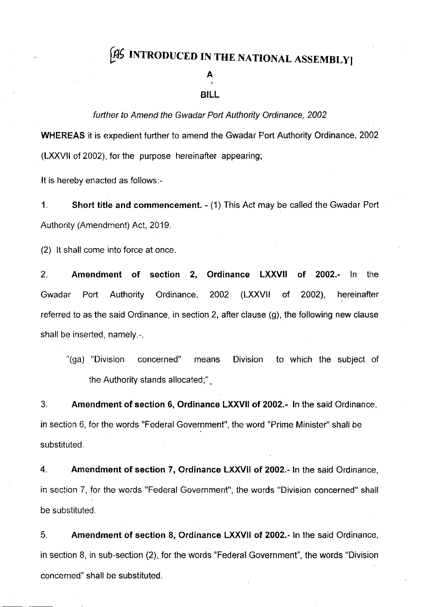# [AS INTRODUCED IN THE NATIONAL ASSEMBLY]

## A

### BILL

#### further to Amend the Gwadar Port Authority Ordinance, 2002

WHEREAS it is expedient further to amend the Gwadar Port Authority Ordinance, 2002 (LXXVll of 2002), for the purpose hereinafter appearing;

It is hereby enacted as follows:-

1. Short title and commencement.  $-(1)$  This Act may be called the Gwadar Port Authority (Amendment) Act, 2019.

(2) lt shall come into force at once.

2. Amendment of section 2, Ordinance LXXVII of 2002.- ln the Gwadar Port Authority Ordinance, 2002 (LXXVII of 2002), hereinafter referred to as the said Ordinance, in section 2, after clause (g), the following new clause shall be inserted, namely.-,

"(ga) "Division concerned" means Division to which the subject of the Authority stands allocated;" .

3. Amendment of section 6, Ordinance LXXVII of 2002.- ln the said Ordinance, in section 6, for the words "Federal Government", the word "Prime Minister" shall be substituted.

4. Amendment of section 7, Ordinance LXXVII of 2002.- ln the said Ordinance, in section 7, for the words "Federal Government", the words "Division concerned" shall be substituted.

5. Amendment of section 8, Ordinance LXXVII of 2002.- ln the said Ordinance, in section 8, in sub-section (2), for the words "Federal Government", the words "Division concerned" shall be substituted.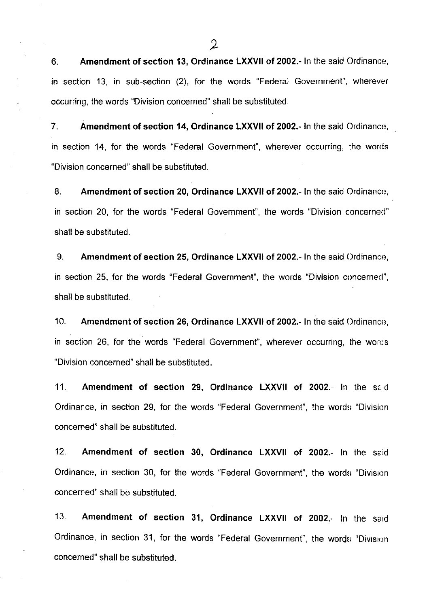6. Amendment of section 13, Ordinance LXXVII of 2002.- ln the said Ordinance, in section 13, in sub-section (2), for the words "Federal Government", wherever occurring, the words "Division concerned" shall be substituted.

7. Amendment of section 14, Ordinance LXXVII of 2002.- ln the said Ordinance, in section 14, for the words "Federal Government", wherever occurring, :he words "Division concerned" shall be substituted.

8. Amendment of section 20, Ordinance LXXVII of 2002.- In the said Ordinance, in section 20, for the words "Federal Government", the words "Division concernecl" shall be substituted.

9. Amendment of section 25, Ordinance LXXVII of 2002.- ln the said Ordinance, in section 25, for the words "Federal Government", the words "Division concerned", shall be substituted.

10. Amendment of section 26, Ordinance LXXVII of 2002.- In the said Ordinance, in section 26, for the words "Federal Government", wherever occurring, the words "Division concerned" shall be substituted.

11. Amendment of section 29, Ordinance LXXVII of 2002.- In the said Ordinance, in section 29, for the words "Federal Government", the words "Division concerned" shall be substituted.

12. Amendment of section 30, Ordinance LXXVII of 2002.- ln the said Ordinance, in section 30, for the words "Federal Government", the words "Division concerned" shall be substituted.

13. Amendment of section 31, Ordinance LXXVII of 2002.- ln the sard Ordinance, in section 31, for the words "Federal Government", the words "Division concerned" shall be substituted.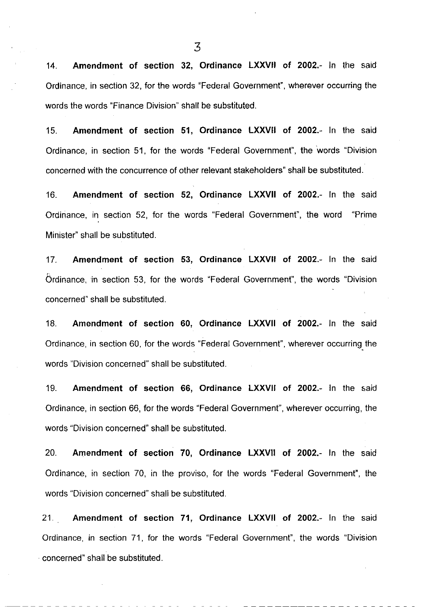14. Amendment of section 32, Ordinance LXXVII of 2002.- In the said Ordinance, in section 32, for the words "Federal Government", wherever occurring the words the words "Finance Division" shall be substituted.

15. Amendment of section 51, Ordinance LXXVII of 2002.- ln the said Ordinance, in section 51, for the words "Federal Government", the words "Division concerned with the concurrence of other relevant stakeholders" shall be substituted.

16. Amendment of section 52, Ordinance LXXVII of 2002.- ln the said Ordinance, in section 52, for the words "Federal Government", the word "Prime Minister" shall be substituted.

17. Amendment of section 53, Ordinance LXXVII of 2002-- ln the said Ordinance, in section 53, for the words "Federal Government", the words "Division concerned" shall be substituted.

'18. Amendment of section 60, Ordinance LXXVII of 2002.- ln the said Ordinance, in section 60, for the words "Federal Government", wherever occurring. the words "Division concerned" shall be substituted.

'19. Amendment of section 66, Ordinance LXXVII of 2OO2.- ln the said Ordinance, in section 66, for the words "Federal Government", wherever occurring, the words "Division concerned" shall be substituted.

20. Amendment of section 70, Ordinance LXXVII of 2002.- ln the said Ordinance, in section 70, in the proviso, for the words "Federal Government", the words "Division concerned" shall be substituted.

<sup>21</sup>. Amendment of section 71, Ordinance LXXVII of 2002.- ln the said Ordinance, in section 71, for the words "Federal Government", the words "Division concerned" shall be substituted.